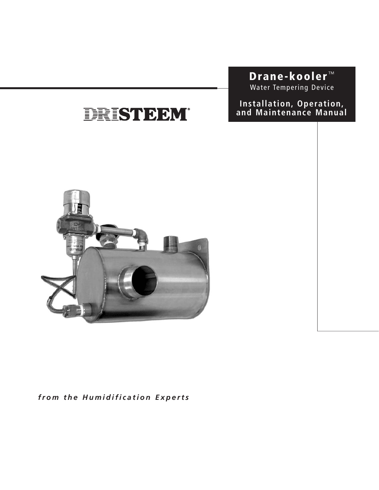## **Drane-kooler** ™

Water Tempering Device

# DRISTEEM®

### **Installation, Operation, and Maintenance Manual**



*from the Humidification Experts*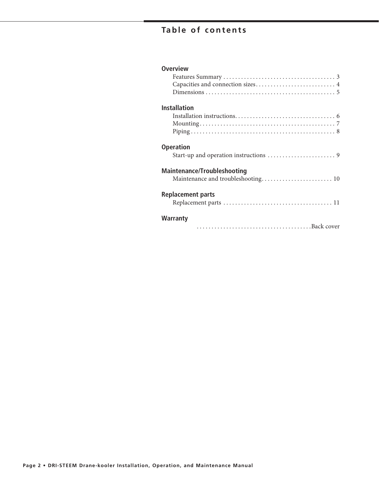### **Table of contents**

| <b>Overview</b>                    |
|------------------------------------|
|                                    |
|                                    |
|                                    |
| <b>Installation</b>                |
|                                    |
|                                    |
|                                    |
| <b>Operation</b>                   |
|                                    |
| <b>Maintenance/Troubleshooting</b> |
| Maintenance and troubleshooting 10 |
| <b>Replacement parts</b>           |
|                                    |
| Warranty                           |
|                                    |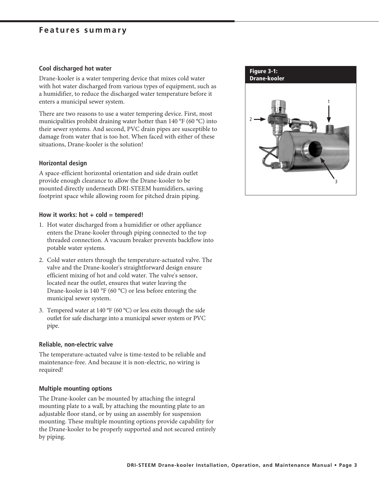### **Features summary**

#### **Cool discharged hot water**

Drane-kooler is a water tempering device that mixes cold water with hot water discharged from various types of equipment, such as a humidifier, to reduce the discharged water temperature before it enters a municipal sewer system.

There are two reasons to use a water tempering device. First, most municipalities prohibit draining water hotter than 140 °F (60 °C) into their sewer systems. And second, PVC drain pipes are susceptible to damage from water that is too hot. When faced with either of these situations, Drane-kooler is the solution!

#### **Horizontal design**

A space-efficient horizontal orientation and side drain outlet provide enough clearance to allow the Drane-kooler to be mounted directly underneath DRI-STEEM humidifiers, saving footprint space while allowing room for pitched drain piping.

#### **How it works: hot + cold = tempered!**

- 1. Hot water discharged from a humidifier or other appliance enters the Drane-kooler through piping connected to the top threaded connection. A vacuum breaker prevents backflow into potable water systems.
- 2. Cold water enters through the temperature-actuated valve. The valve and the Drane-kooler's straightforward design ensure efficient mixing of hot and cold water. The valve's sensor, located near the outlet, ensures that water leaving the Drane-kooler is 140 °F (60 °C) or less before entering the municipal sewer system.
- 3. Tempered water at 140 °F (60 °C) or less exits through the side outlet for safe discharge into a municipal sewer system or PVC pipe.

#### **Reliable, non-electric valve**

The temperature-actuated valve is time-tested to be reliable and maintenance-free. And because it is non-electric, no wiring is required!

#### **Multiple mounting options**

The Drane-kooler can be mounted by attaching the integral mounting plate to a wall, by attaching the mounting plate to an adjustable floor stand, or by using an assembly for suspension mounting. These multiple mounting options provide capability for the Drane-kooler to be properly supported and not secured entirely by piping.

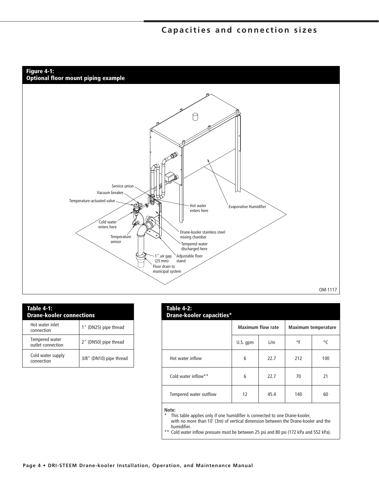### **Capacities and connection sizes**



| Table 4-1:<br><b>Drane-kooler connections</b> |                         |  |  |
|-----------------------------------------------|-------------------------|--|--|
| Hot water inlet<br>connection                 | 1" (DN25) pipe thread   |  |  |
| Tempered water<br>outlet connection           | 2" (DN50) pipe thread   |  |  |
| Cold water supply<br>connection               | 3/8" (DN10) pipe thread |  |  |

| <b>Table 4-2:</b><br><b>Drane-kooler capacities*</b> |                          |      |                            |     |
|------------------------------------------------------|--------------------------|------|----------------------------|-----|
|                                                      | <b>Maximum flow rate</b> |      | <b>Maximum temperature</b> |     |
|                                                      | U.S. qpm                 | L/m  | ۰F                         | °C  |
| Hot water inflow                                     | 6                        | 22.7 | 212                        | 100 |
| Cold water inflow**                                  | 6                        | 22.7 | 70                         | 21  |
| Tempered water outflow                               | 12                       | 45.4 | 140                        | 60  |
|                                                      |                          |      |                            |     |

#### **Note:**

This table applies only if one humidifier is connected to one Drane-kooler, with no more than 10' (3m) of vertical dimension between the Drane-kooler and the humidifier.

\*\* Cold water inflow pressure must be between 25 psi and 80 psi (172 kPa and 552 kPa).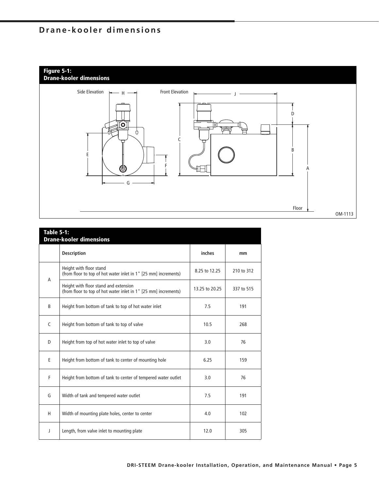### **Drane-kooler dimensions**



| <b>Table 5-1:</b><br><b>Drane-kooler dimensions</b> |                                                                                                          |                |            |
|-----------------------------------------------------|----------------------------------------------------------------------------------------------------------|----------------|------------|
|                                                     | <b>Description</b>                                                                                       | inches         | mm         |
| A                                                   | Height with floor stand<br>(from floor to top of hot water inlet in 1" [25 mm] increments)               | 8.25 to 12.25  | 210 to 312 |
|                                                     | Height with floor stand and extension<br>(from floor to top of hot water inlet in 1" [25 mm] increments) | 13.25 to 20.25 | 337 to 515 |
| B                                                   | Height from bottom of tank to top of hot water inlet                                                     | 7.5            | 191        |
| C                                                   | Height from bottom of tank to top of valve                                                               | 10.5           | 268        |
| D                                                   | Height from top of hot water inlet to top of valve                                                       | 3.0            | 76         |
| E                                                   | Height from bottom of tank to center of mounting hole                                                    | 6.25           | 159        |
| F                                                   | Height from bottom of tank to center of tempered water outlet                                            | 3.0            | 76         |
| G                                                   | Width of tank and tempered water outlet                                                                  | 7.5            | 191        |
| H                                                   | Width of mounting plate holes, center to center                                                          | 4.0            | 102        |
| J                                                   | Length, from valve inlet to mounting plate                                                               | 12.0           | 305        |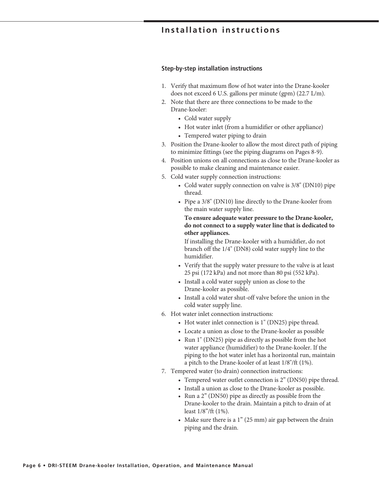### **Installation instructions**

#### **Step-by-step installation instructions**

- 1. Verify that maximum flow of hot water into the Drane-kooler does not exceed 6 U.S. gallons per minute (gpm) (22.7 L/m).
- 2. Note that there are three connections to be made to the Drane-kooler:
	- Cold water supply
	- Hot water inlet (from a humidifier or other appliance)
	- Tempered water piping to drain
- 3. Position the Drane-kooler to allow the most direct path of piping to minimize fittings (see the piping diagrams on Pages 8-9).
- 4. Position unions on all connections as close to the Drane-kooler as possible to make cleaning and maintenance easier.
- 5. Cold water supply connection instructions:
	- Cold water supply connection on valve is 3/8" (DN10) pipe thread.
	- Pipe a 3/8" (DN10) line directly to the Drane-kooler from the main water supply line.

### **To ensure adequate water pressure to the Drane-kooler, do not connect to a supply water line that is dedicated to other appliances.**

 If installing the Drane-kooler with a humidifier, do not branch off the 1/4" (DN8) cold water supply line to the humidifier.

- Verify that the supply water pressure to the valve is at least 25 psi (172 kPa) and not more than 80 psi (552 kPa).
- Install a cold water supply union as close to the Drane-kooler as possible.
- Install a cold water shut-off valve before the union in the cold water supply line.
- 6. Hot water inlet connection instructions:
	- Hot water inlet connection is 1" (DN25) pipe thread.
	- Locate a union as close to the Drane-kooler as possible
	- Run 1" (DN25) pipe as directly as possible from the hot water appliance (humidifier) to the Drane-kooler. If the piping to the hot water inlet has a horizontal run, maintain a pitch to the Drane-kooler of at least 1/8"/ft (1%).
- 7. Tempered water (to drain) connection instructions:
	- Tempered water outlet connection is 2" (DN50) pipe thread.
	- Install a union as close to the Drane-kooler as possible.
	- Run a 2" (DN50) pipe as directly as possible from the Drane-kooler to the drain. Maintain a pitch to drain of at least 1/8"/ft (1%).
	- Make sure there is a 1" (25 mm) air gap between the drain piping and the drain.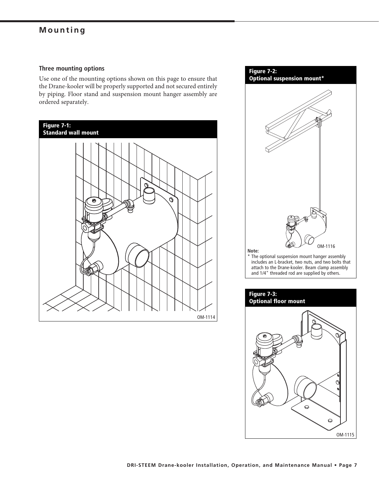### **Mounting**

### **Three mounting options**

Use one of the mounting options shown on this page to ensure that the Drane-kooler will be properly supported and not secured entirely by piping. Floor stand and suspension mount hanger assembly are ordered separately.



**Figure 7-3: Optional floor mount Figure 7-2: Optional suspension mount\*** OM-1116 **Note:** \* The optional suspension mount hanger assembly includes an L-bracket, two nuts, and two bolts that attach to the Drane-kooler. Beam clamp assembly and 1/4" threaded rod are supplied by others.

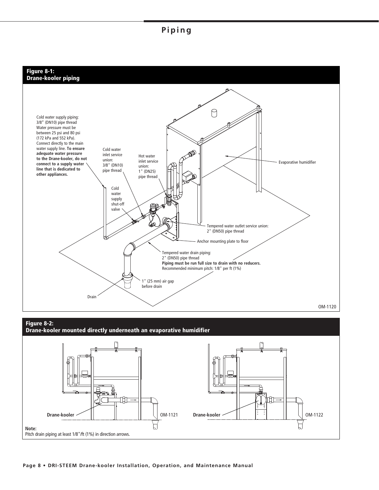### **Piping**



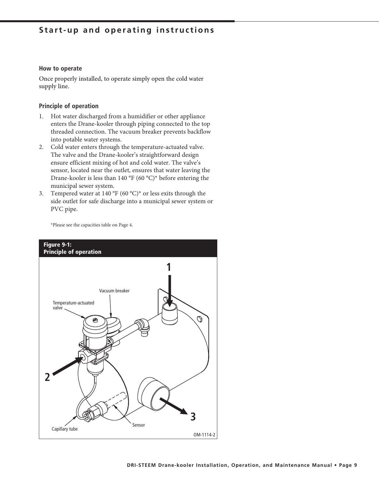### **Start-up and operating instructions**

#### **How to operate**

Once properly installed, to operate simply open the cold water supply line.

### **Principle of operation**

- 1. Hot water discharged from a humidifier or other appliance enters the Drane-kooler through piping connected to the top threaded connection. The vacuum breaker prevents backflow into potable water systems.
- 2. Cold water enters through the temperature-actuated valve. The valve and the Drane-kooler's straightforward design ensure efficient mixing of hot and cold water. The valve's sensor, located near the outlet, ensures that water leaving the Drane-kooler is less than 140 °F (60 °C)\* before entering the municipal sewer system.
- 3. Tempered water at 140 °F (60 °C)<sup>\*</sup> or less exits through the side outlet for safe discharge into a municipal sewer system or PVC pipe.

\*Please see the capacities table on Page 4.

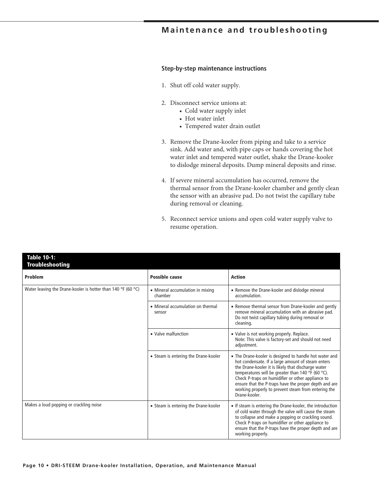### **Maintenance and troubleshooting**

#### **Step-by-step maintenance instructions**

- 1. Shut off cold water supply.
- 2. Disconnect service unions at:
	- Cold water supply inlet
	- Hot water inlet
	- Tempered water drain outlet
- 3. Remove the Drane-kooler from piping and take to a service sink. Add water and, with pipe caps or hands covering the hot water inlet and tempered water outlet, shake the Drane-kooler to dislodge mineral deposits. Dump mineral deposits and rinse.
- 4. If severe mineral accumulation has occurred, remove the thermal sensor from the Drane-kooler chamber and gently clean the sensor with an abrasive pad. Do not twist the capillary tube during removal or cleaning.
- 5. Reconnect service unions and open cold water supply valve to resume operation.

| <b>Table 10-1:</b><br><b>Troubleshooting</b>                 |                                             |                                                                                                                                                                                                                                                                                                                                                                                                              |  |
|--------------------------------------------------------------|---------------------------------------------|--------------------------------------------------------------------------------------------------------------------------------------------------------------------------------------------------------------------------------------------------------------------------------------------------------------------------------------------------------------------------------------------------------------|--|
| Problem                                                      | Possible cause                              | <b>Action</b>                                                                                                                                                                                                                                                                                                                                                                                                |  |
| Water leaving the Drane-kooler is hotter than 140 °F (60 °C) | • Mineral accumulation in mixing<br>chamber | • Remove the Drane-kooler and dislodge mineral<br>accumulation.                                                                                                                                                                                                                                                                                                                                              |  |
|                                                              | • Mineral accumulation on thermal<br>sensor | • Remove thermal sensor from Drane-kooler and gently<br>remove mineral accumulation with an abrasive pad.<br>Do not twist capillary tubing during removal or<br>cleaning.                                                                                                                                                                                                                                    |  |
|                                                              | • Valve malfunction                         | • Valve is not working properly. Replace.<br>Note: This valve is factory-set and should not need<br>adjustment.                                                                                                                                                                                                                                                                                              |  |
|                                                              | • Steam is entering the Drane-kooler        | • The Drane-kooler is designed to handle hot water and<br>hot condensate. If a large amount of steam enters<br>the Drane-kooler it is likely that discharge water<br>temperatures will be greater than 140 °F (60 °C).<br>Check P-traps on humidifier or other appliance to<br>ensure that the P-traps have the proper depth and are<br>working properly to prevent steam from entering the<br>Drane-kooler. |  |
| Makes a loud popping or crackling noise                      | • Steam is entering the Drane-kooler        | • If steam is entering the Drane-kooler, the introduction<br>of cold water through the valve will cause the steam<br>to collapse and make a popping or crackling sound.<br>Check P-traps on humidifier or other appliance to<br>ensure that the P-traps have the proper depth and are<br>working properly.                                                                                                   |  |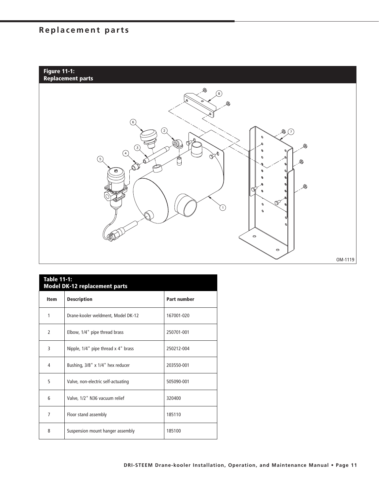### **Replacement parts**

**Figure 11-1: Replacement parts**



| <b>Table 11-1:</b><br><b>Model DK-12 replacement parts</b> |                                     |                    |  |
|------------------------------------------------------------|-------------------------------------|--------------------|--|
| <b>Item</b>                                                | <b>Description</b>                  | <b>Part number</b> |  |
| 1                                                          | Drane-kooler weldment, Model DK-12  | 167001-020         |  |
| 2                                                          | Elbow, 1/4" pipe thread brass       | 250701-001         |  |
| 3                                                          | Nipple, 1/4" pipe thread x 4" brass | 250212-004         |  |
| 4                                                          | Bushing, 3/8" x 1/4" hex reducer    | 203550-001         |  |
| 5                                                          | Valve, non-electric self-actuating  | 505090-001         |  |
| 6                                                          | Valve, 1/2" N36 vacuum relief       | 320400             |  |
| 7                                                          | Floor stand assembly                | 185110             |  |
| 8                                                          | Suspension mount hanger assembly    | 185100             |  |